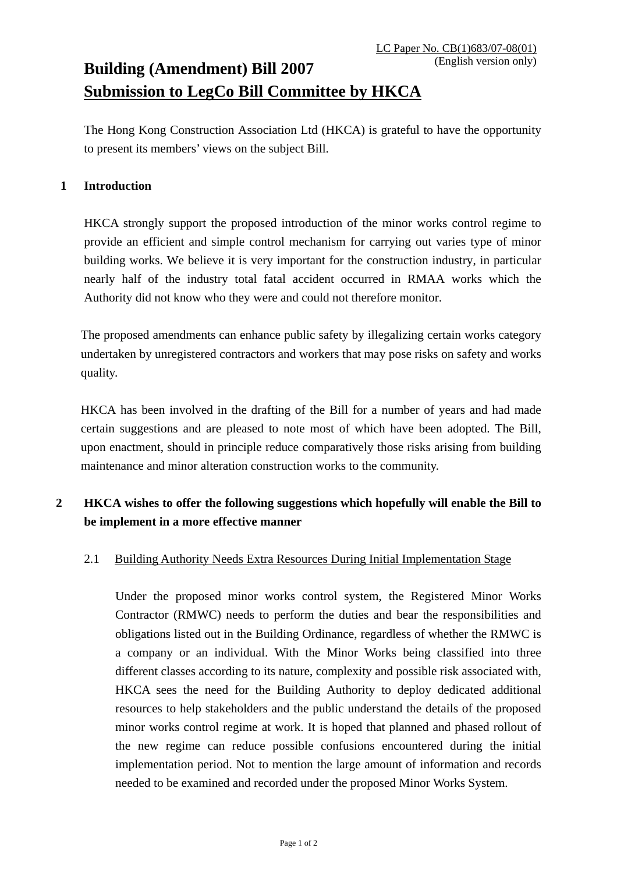# **Building (Amendment) Bill 2007 Submission to LegCo Bill Committee by HKCA**

The Hong Kong Construction Association Ltd (HKCA) is grateful to have the opportunity to present its members' views on the subject Bill.

#### **1 Introduction**

HKCA strongly support the proposed introduction of the minor works control regime to provide an efficient and simple control mechanism for carrying out varies type of minor building works. We believe it is very important for the construction industry, in particular nearly half of the industry total fatal accident occurred in RMAA works which the Authority did not know who they were and could not therefore monitor.

The proposed amendments can enhance public safety by illegalizing certain works category undertaken by unregistered contractors and workers that may pose risks on safety and works quality.

HKCA has been involved in the drafting of the Bill for a number of years and had made certain suggestions and are pleased to note most of which have been adopted. The Bill, upon enactment, should in principle reduce comparatively those risks arising from building maintenance and minor alteration construction works to the community.

## **2 HKCA wishes to offer the following suggestions which hopefully will enable the Bill to be implement in a more effective manner**

### 2.1 Building Authority Needs Extra Resources During Initial Implementation Stage

Under the proposed minor works control system, the Registered Minor Works Contractor (RMWC) needs to perform the duties and bear the responsibilities and obligations listed out in the Building Ordinance, regardless of whether the RMWC is a company or an individual. With the Minor Works being classified into three different classes according to its nature, complexity and possible risk associated with, HKCA sees the need for the Building Authority to deploy dedicated additional resources to help stakeholders and the public understand the details of the proposed minor works control regime at work. It is hoped that planned and phased rollout of the new regime can reduce possible confusions encountered during the initial implementation period. Not to mention the large amount of information and records needed to be examined and recorded under the proposed Minor Works System.